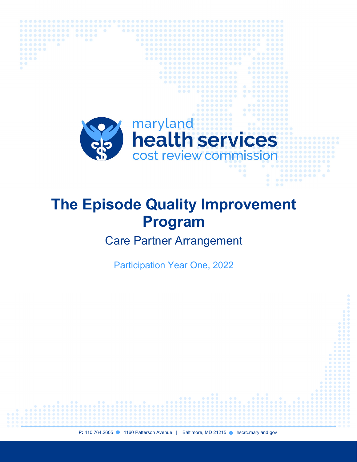

 $0.0000$ 

.......

# **The Episode Quality Improvement Program**

Care Partner Arrangement

Participation Year One, 2022

**P:** 410.764.2605 4160 Patterson Avenue | Baltimore, MD 21215 **Alterational Patter** hscrc.maryland.gov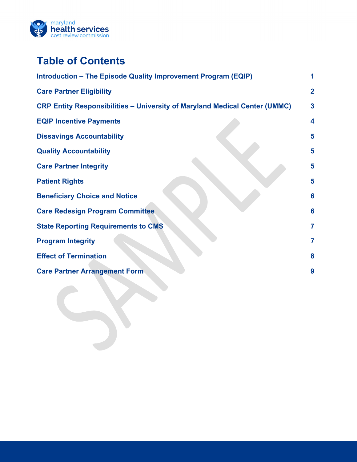

# **Table of Contents**

| Introduction - The Episode Quality Improvement Program (EQIP)                     |                |
|-----------------------------------------------------------------------------------|----------------|
| <b>Care Partner Eligibility</b>                                                   | $\mathbf 2$    |
| <b>CRP Entity Responsibilities - University of Maryland Medical Center (UMMC)</b> | 3              |
| <b>EQIP Incentive Payments</b>                                                    | 4              |
| <b>Dissavings Accountability</b>                                                  | 5              |
| <b>Quality Accountability</b>                                                     | 5              |
| <b>Care Partner Integrity</b>                                                     | 5              |
| <b>Patient Rights</b>                                                             | 5              |
| <b>Beneficiary Choice and Notice</b>                                              | 6              |
| <b>Care Redesign Program Committee</b>                                            | 6              |
| <b>State Reporting Requirements to CMS</b>                                        | $\overline{7}$ |
| <b>Program Integrity</b>                                                          | 7              |
| <b>Effect of Termination</b>                                                      | 8              |
| <b>Care Partner Arrangement Form</b>                                              | 9              |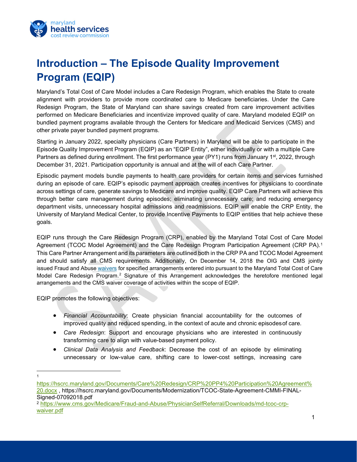

# <span id="page-2-0"></span>**Introduction – The Episode Quality Improvement Program (EQIP)**

Maryland's Total Cost of Care Model includes a Care Redesign Program, which enables the State to create alignment with providers to provide more coordinated care to Medicare beneficiaries. Under the Care Redesign Program, the State of Maryland can share savings created from care improvement activities performed on Medicare Beneficiaries and incentivize improved quality of care. Maryland modeled EQIP on bundled payment programs available through the Centers for Medicare and Medicaid Services (CMS) and other private payer bundled payment programs.

Starting in January 2022, specialty physicians (Care Partners) in Maryland will be able to participate in the Episode Quality Improvement Program (EQIP) as an "EQIP Entity", either individually or with a multiple Care Partners as defined during enrollment. The first performance year (PY1) runs from January 1<sup>st</sup>, 2022, through December 31, 2021. Participation opportunity is annual and at the will of each Care Partner.

Episodic payment models bundle payments to health care providers for certain items and services furnished during an episode of care. EQIP's episodic payment approach creates incentives for physicians to coordinate across settings of care, generate savings to Medicare and improve quality. EQIP Care Partners will achieve this through better care management during episodes; eliminating unnecessary care; and reducing emergency department visits, unnecessary hospital admissions and readmissions. EQIP will enable the CRP Entity, the University of Maryland Medical Center, to provide Incentive Payments to EQIP entities that help achieve these goals.

EQIP runs through the Care Redesign Program (CRP), enabled by the Maryland Total Cost of Care Model Agreement (TCOC Model Agreement) and the Care Redesign Program Participation Agreement (CRP PA).[1](#page-2-1) This Care Partner Arrangement and its parameters are outlined both in the CRP PA and TCOC Model Agreement and should satisfy all CMS requirements. Additionally, On December 14, 2018 the OIG and CMS jointly issued Fraud and Abuse [waivers](https://www.cms.gov/Medicare/Fraud-and-Abuse/PhysicianSelfReferral/Downloads/md-tcoc-crp-waiver.pdf) for specified arrangements entered into pursuant to the Maryland Total Cost of Care Model Care Redesign Program.<sup>[2](#page-2-2)</sup> Signature of this Arrangement acknowledges the heretofore mentioned legal arrangements and the CMS waiver coverage of activities within the scope of EQIP.

EQIP promotes the following objectives:

- *Financial Accountability*: Create physician financial accountability for the outcomes of improved quality and reduced spending, in the context of acute and chronic episodesof care.
- *Care Redesign*: Support and encourage physicians who are interested in continuously transforming care to align with value-based payment policy.
- *Clinical Data Analysis and Feedback*: Decrease the cost of an episode by eliminating unnecessary or low-value care, shifting care to lower-cost settings, increasing care

<span id="page-2-1"></span><sup>1</sup>

[https://hscrc.maryland.gov/Documents/Care%20Redesign/CRP%20PP4%20Participation%20Agreement%](https://hscrc.maryland.gov/Documents/Care%20Redesign/CRP%20PP4%20Participation%20Agreement%20.docx) [20.docx](https://hscrc.maryland.gov/Documents/Care%20Redesign/CRP%20PP4%20Participation%20Agreement%20.docx) , https://hscrc.maryland.gov/Documents/Modernization/TCOC-State-Agreement-CMMI-FINAL-Signed-07092018.pdf

<span id="page-2-2"></span><sup>2</sup> [https://www.cms.gov/Medicare/Fraud-and-Abuse/PhysicianSelfReferral/Downloads/md-tcoc-crp](https://www.cms.gov/Medicare/Fraud-and-Abuse/PhysicianSelfReferral/Downloads/md-tcoc-crp-waiver.pdf)[waiver.pdf](https://www.cms.gov/Medicare/Fraud-and-Abuse/PhysicianSelfReferral/Downloads/md-tcoc-crp-waiver.pdf)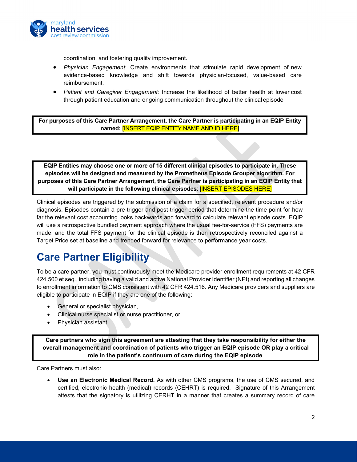

coordination, and fostering quality improvement.

- *Physician Engagement*: Create environments that stimulate rapid development of new evidence-based knowledge and shift towards physician-focused, value-based care reimbursement.
- *Patient and Caregiver Engagement:* Increase the likelihood of better health at lower cost through patient education and ongoing communication throughout the clinical episode

**For purposes of this Care Partner Arrangement, the Care Partner is participating in an EQIP Entity named:** [INSERT EQIP ENTITY NAME AND ID HERE]

**EQIP Entities may choose one or more of 15 different clinical episodes to participate in. These episodes will be designed and measured by the Prometheus Episode Grouper algorithm. For purposes of this Care Partner Arrangement, the Care Partner is participating in an EQIP Entity that will participate in the following clinical episodes**: [INSERT EPISODES HERE]

Clinical episodes are triggered by the submission of a claim for a specified, relevant procedure and/or diagnosis. Episodes contain a pre-trigger and post-trigger period that determine the time point for how far the relevant cost accounting looks backwards and forward to calculate relevant episode costs. EQIP will use a retrospective bundled payment approach where the usual fee-for-service (FFS) payments are made, and the total FFS payment for the clinical episode is then retrospectively reconciled against a Target Price set at baseline and trended forward for relevance to performance year costs.

# <span id="page-3-0"></span>**Care Partner Eligibility**

To be a care partner, you must continuously meet the Medicare provider enrollment requirements at 42 CFR 424.500 et seq., including having a valid and active National Provider Identifier (NPI) and reporting all changes to enrollment information to CMS consistent with 42 CFR 424.516. Any Medicare providers and suppliers are eligible to participate in EQIP if they are one of the following:

- General or specialist physician,
- Clinical nurse specialist or nurse practitioner, or,
- Physician assistant.

**Care partners who sign this agreement are attesting that they take responsibility for either the overall management and coordination of patients who trigger an EQIP episode OR play a critical role in the patient's continuum of care during the EQIP episode**.

Care Partners must also:

• **Use an Electronic Medical Record.** As with other CMS programs, the use of CMS secured, and certified, electronic health (medical) records (CEHRT) is required. Signature of this Arrangement attests that the signatory is utilizing CERHT in a manner that creates a summary record of care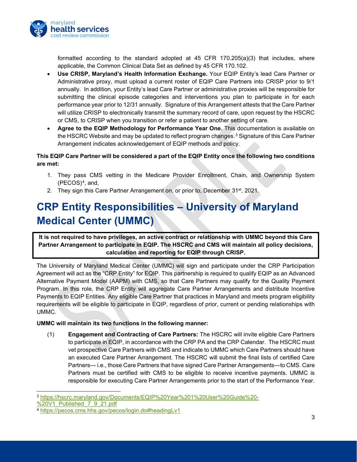

formatted according to the standard adopted at  $45$  CFR  $170.205(a)(3)$  that includes, where applicable, the Common Clinical Data Set as defined by 45 CFR 170.102.

- **Use CRISP, Maryland's Health Information Exchange.** Your EQIP Entity's lead Care Partner or Administrative proxy, must upload a current roster of EQIP Care Partners into CRISP prior to 9/1 annually. In addition, your Entity's lead Care Partner or administrative proxies will be responsible for submitting the clinical episode categories and interventions you plan to participate in for each performance year prior to 12/31 annually. Signature of this Arrangement attests that the Care Partner will utilize CRISP to electronically transmit the summary record of care, upon request by the HSCRC or CMS, to CRISP when you transition or refer a patient to another setting of care.
- **Agree to the EQIP Methodology for Performance Year One.** This documentation is available on the HSCRC Website and may be updated to reflect program changes.[3](#page-4-1) Signature of this Care Partner Arrangement indicates acknowledgement of EQIP methods and policy.

#### **This EQIP Care Partner will be considered a part of the EQIP Entity once the following two conditions are met:**

- 1. They pass CMS vetting in the Medicare Provider Enrollment, Chain, and Ownership System  $(PECOS)<sup>4</sup>$ , and,
- 2. They sign this Care Partner Arrangement on, or prior to, December 31<sup>st</sup>, 2021.

# <span id="page-4-0"></span>**CRP Entity Responsibilities – University of Maryland Medical Center (UMMC)**

**It is not required to have privileges, an active contract or relationship with UMMC beyond this Care Partner Arrangement to participate in EQIP. The HSCRC and CMS will maintain all policy decisions, calculation and reporting for EQIP through CRISP.**

The University of Maryland Medical Center (UMMC) will sign and participate under the CRP Participation Agreement will act as the "CRP Entity" for EQIP. This partnership is required to qualify EQIP as an Advanced Alternative Payment Model (AAPM) with CMS, so that Care Partners may qualify for the Quality Payment Program. In this role, the CRP Entity will aggregate Care Partner Arrangements and distribute Incentive Payments to EQIP Entities. Any eligible Care Partner that practices in Maryland and meets program eligibility requirements will be eligible to participate in EQIP, regardless of prior, current or pending relationships with UMMC.

#### **UMMC will maintain its two functions in the following manner:**

(1) **Engagement and Contracting of Care Partners:** The HSCRC will invite eligible Care Partners to participate in EQIP, in accordance with the CRP PA and the CRP Calendar. The HSCRC must vet prospective Care Partners with CMS and indicate to UMMC which Care Partners should have an executed Care Partner Arrangement. The HSCRC will submit the final lists of certified Care Partners— i.e., those Care Partners that have signed Care Partner Arrangements—to CMS. Care Partners must be certified with CMS to be eligible to receive incentive payments. UMMC is responsible for executing Care Partner Arrangements prior to the start of the Performance Year.

<span id="page-4-1"></span><sup>3</sup> [https://hscrc.maryland.gov/Documents/EQIP%20Year%201%20User%20Guide%20-](https://hscrc.maryland.gov/Documents/EQIP%20Year%201%20User%20Guide%20-%20V1_Published_7_9_21.pdf)

[<sup>%20</sup>V1\\_Published\\_7\\_9\\_21.pdf](https://hscrc.maryland.gov/Documents/EQIP%20Year%201%20User%20Guide%20-%20V1_Published_7_9_21.pdf)

<span id="page-4-2"></span><sup>4</sup> <https://pecos.cms.hhs.gov/pecos/login.do#headingLv1>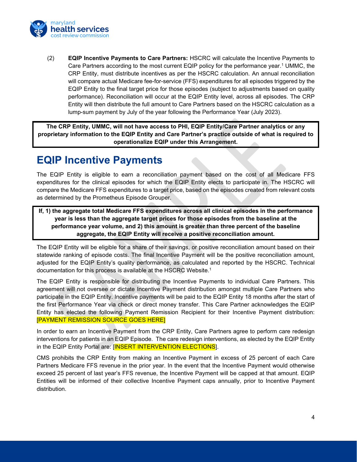

(2) **EQIP Incentive Payments to Care Partners:** HSCRC will calculate the Incentive Payments to Care Partners according to the most current EQIP policy for the performance year.<sup>1</sup> UMMC, the CRP Entity, must distribute incentives as per the HSCRC calculation. An annual reconciliation will compare actual Medicare fee-for-service (FFS) expenditures for all episodes triggered by the EQIP Entity to the final target price for those episodes (subject to adjustments based on quality performance). Reconciliation will occur at the EQIP Entity level, across all episodes. The CRP Entity will then distribute the full amount to Care Partners based on the HSCRC calculation as a lump-sum payment by July of the year following the Performance Year (July 2023).

**The CRP Entity, UMMC, will not have access to PHI, EQIP Entity/Care Partner analytics or any proprietary information to the EQIP Entity and Care Partner's practice outside of what is required to operationalize EQIP under this Arrangement.**

#### <span id="page-5-0"></span>**EQIP Incentive Payments**

The EQIP Entity is eligible to earn a reconciliation payment based on the cost of all Medicare FFS expenditures for the clinical episodes for which the EQIP Entity elects to participate in. The HSCRC will compare the Medicare FFS expenditures to a target price, based on the episodes created from relevant costs as determined by the Prometheus Episode Grouper.

**If, 1) the aggregate total Medicare FFS expenditures across all clinical episodes in the performance year is less than the aggregate target prices for those episodes from the baseline at the performance year volume, and 2) this amount is greater than three percent of the baseline aggregate, the EQIP Entity will receive a positive reconciliation amount.**

The EQIP Entity will be eligible for a share of their savings, or positive reconciliation amount based on their statewide ranking of episode costs. The final Incentive Payment will be the positive reconciliation amount, adjusted for the EQIP Entity's quality performance, as calculated and reported by the HSCRC. Technical documentation for this process is available at the HSCRC Website.1

The EQIP Entity is responsible for distributing the Incentive Payments to individual Care Partners. This agreement will not oversee or dictate Incentive Payment distribution amongst multiple Care Partners who participate in the EQIP Entity. Incentive payments will be paid to the EQIP Entity 18 months after the start of the first Performance Year via check or direct money transfer. This Care Partner acknowledges the EQIP Entity has elected the following Payment Remission Recipient for their Incentive Payment distribution: [PAYMENT REMISSION SOURCE GOES HERE]

In order to earn an Incentive Payment from the CRP Entity, Care Partners agree to perform care redesign interventions for patients in an EQIP Episode. The care redesign interventions, as elected by the EQIP Entity in the EQIP Entity Portal are: [INSERT INTERVENTION ELECTIONS].

CMS prohibits the CRP Entity from making an Incentive Payment in excess of 25 percent of each Care Partners Medicare FFS revenue in the prior year. In the event that the Incentive Payment would otherwise exceed 25 percent of last year's FFS revenue, the Incentive Payment will be capped at that amount. EQIP Entities will be informed of their collective Incentive Payment caps annually, prior to Incentive Payment distribution.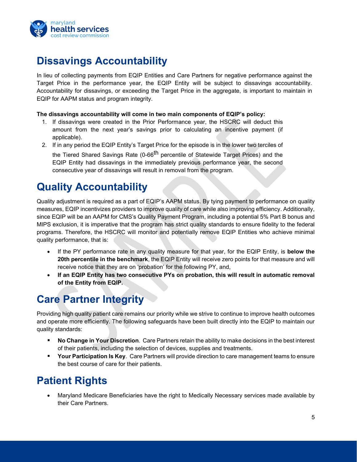

### <span id="page-6-0"></span>**Dissavings Accountability**

In lieu of collecting payments from EQIP Entities and Care Partners for negative performance against the Target Price in the performance year, the EQIP Entity will be subject to dissavings accountability. Accountability for dissavings, or exceeding the Target Price in the aggregate, is important to maintain in EQIP for AAPM status and program integrity.

#### **The dissavings accountability will come in two main components of EQIP's policy:**

- 1. If dissavings were created in the Prior Performance year, the HSCRC will deduct this amount from the next year's savings prior to calculating an incentive payment (if applicable).
- 2. If in any period the EQIP Entity's Target Price for the episode is in the lower two terciles of

the Tiered Shared Savings Rate (0-66<sup>th</sup> percentile of Statewide Target Prices) and the EQIP Entity had dissavings in the immediately previous performance year, the second consecutive year of dissavings will result in removal from the program.

### <span id="page-6-1"></span>**Quality Accountability**

Quality adjustment is required as a part of EQIP's AAPM status. By tying payment to performance on quality measures, EQIP incentivizes providers to improve quality of care while also improving efficiency. Additionally, since EQIP will be an AAPM for CMS's Quality Payment Program, including a potential 5% Part B bonus and MIPS exclusion, it is imperative that the program has strict quality standards to ensure fidelity to the federal programs. Therefore, the HSCRC will monitor and potentially remove EQIP Entities who achieve minimal quality performance, that is:

- If the PY performance rate in any quality measure for that year, for the EQIP Entity, is **below the 20th percentile in the benchmark**, the EQIP Entity will receive zero points for that measure and will receive notice that they are on 'probation' for the following PY, and,
- **If an EQIP Entity has two consecutive PYs on probation, this will result in automatic removal of the Entity from EQIP.**

### <span id="page-6-2"></span>**Care Partner Integrity**

Providing high quality patient care remains our priority while we strive to continue to improve health outcomes and operate more efficiently. The following safeguards have been built directly into the EQIP to maintain our quality standards:

- **No Change in Your Discretion**. Care Partners retain the ability to make decisions in the best interest of their patients, including the selection of devices, supplies and treatments.
- **Your Participation Is Key**. Care Partners will provide direction to care management teams to ensure the best course of care for their patients.

### <span id="page-6-3"></span>**Patient Rights**

• Maryland Medicare Beneficiaries have the right to Medically Necessary services made available by their Care Partners.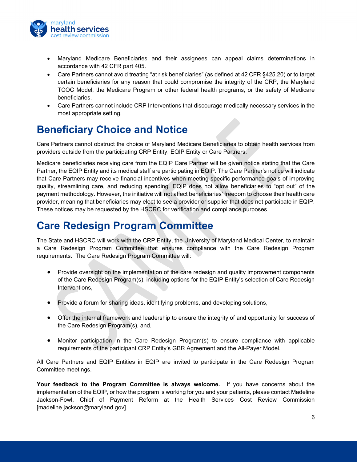

- Maryland Medicare Beneficiaries and their assignees can appeal claims determinations in accordance with 42 CFR part 405.
- Care Partners cannot avoid treating "at risk beneficiaries" (as defined at 42 CFR §425.20) or to target certain beneficiaries for any reason that could compromise the integrity of the CRP, the Maryland TCOC Model, the Medicare Program or other federal health programs, or the safety of Medicare beneficiaries.
- Care Partners cannot include CRP Interventions that discourage medically necessary services in the most appropriate setting.

#### <span id="page-7-0"></span>**Beneficiary Choice and Notice**

Care Partners cannot obstruct the choice of Maryland Medicare Beneficiaries to obtain health services from providers outside from the participating CRP Entity, EQIP Entity or Care Partners.

Medicare beneficiaries receiving care from the EQIP Care Partner will be given notice stating that the Care Partner, the EQIP Entity and its medical staff are participating in EQIP. The Care Partner's notice will indicate that Care Partners may receive financial incentives when meeting specific performance goals of improving quality, streamlining care, and reducing spending. EQIP does not allow beneficiaries to "opt out" of the payment methodology. However, the initiative will not affect beneficiaries' freedom to choose their health care provider, meaning that beneficiaries may elect to see a provider or supplier that does not participate in EQIP. These notices may be requested by the HSCRC for verification and compliance purposes.

#### <span id="page-7-1"></span>**Care Redesign Program Committee**

The State and HSCRC will work with the CRP Entity, the University of Maryland Medical Center, to maintain a Care Redesign Program Committee that ensures compliance with the Care Redesign Program requirements. The Care Redesign Program Committee will:

- Provide oversight on the implementation of the care redesign and quality improvement components of the Care Redesign Program(s), including options for the EQIP Entity's selection of Care Redesign Interventions,
- Provide a forum for sharing ideas, identifying problems, and developing solutions,
- Offer the internal framework and leadership to ensure the integrity of and opportunity for success of the Care Redesign Program(s), and,
- Monitor participation in the Care Redesign Program(s) to ensure compliance with applicable requirements of the participant CRP Entity's GBR Agreement and the All-Payer Model.

All Care Partners and EQIP Entities in EQIP are invited to participate in the Care Redesign Program Committee meetings.

**Your feedback to the Program Committee is always welcome.** If you have concerns about the implementation of the EQIP, or how the program is working for you and your patients, please contact Madeline Jackson-Fowl, Chief of Payment Reform at the Health Services Cost Review Commission [madeline.jackson@maryland.gov].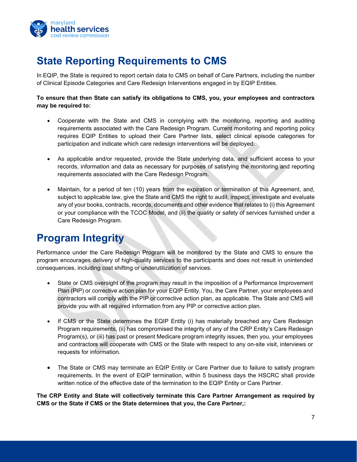

# <span id="page-8-0"></span>**State Reporting Requirements to CMS**

In EQIP, the State is required to report certain data to CMS on behalf of Care Partners, including the number of Clinical Episode Categories and Care Redesign Interventions engaged in by EQIP Entities.

#### **To ensure that then State can satisfy its obligations to CMS, you, your employees and contractors may be required to:**

- Cooperate with the State and CMS in complying with the monitoring, reporting and auditing requirements associated with the Care Redesign Program. Current monitoring and reporting policy requires EQIP Entities to upload their Care Partner lists, select clinical episode categories for participation and indicate which care redesign interventions will be deployed.
- As applicable and/or requested, provide the State underlying data, and sufficient access to your records, information and data as necessary for purposes of satisfying the monitoring and reporting requirements associated with the Care Redesign Program.
- Maintain, for a period of ten (10) years from the expiration or termination of this Agreement, and, subject to applicable law, give the State and CMS the right to audit, inspect, investigate and evaluate any of your books, contracts, records, documents and other evidence that relates to (i) this Agreement or your compliance with the TCOC Model, and (ii) the quality or safety of services furnished under a Care Redesign Program.

### <span id="page-8-1"></span>**Program Integrity**

Performance under the Care Redesign Program will be monitored by the State and CMS to ensure the program encourages delivery of high-quality services to the participants and does not result in unintended consequences, including cost shifting or underutilization of services.

- State or CMS oversight of the program may result in the imposition of a Performance Improvement Plan (PIP) or corrective action plan for your EQIP Entity. You, the Care Partner, your employees and contractors will comply with the PIP or corrective action plan, as applicable. The State and CMS will provide you with all required information from any PIP or corrective action plan.
- If CMS or the State determines the EQIP Entity (i) has materially breached any Care Redesign Program requirements, (ii) has compromised the integrity of any of the CRP Entity's Care Redesign Program(s), or (iii) has past or present Medicare program integrity issues, then you, your employees and contractors will cooperate with CMS or the State with respect to any on-site visit, interviews or requests for information.
- The State or CMS may terminate an EQIP Entity or Care Partner due to failure to satisfy program requirements. In the event of EQIP termination, within 5 business days the HSCRC shall provide written notice of the effective date of the termination to the EQIP Entity or Care Partner.

**The CRP Entity and State will collectively terminate this Care Partner Arrangement as required by CMS or the State if CMS or the State determines that you, the Care Partner,:**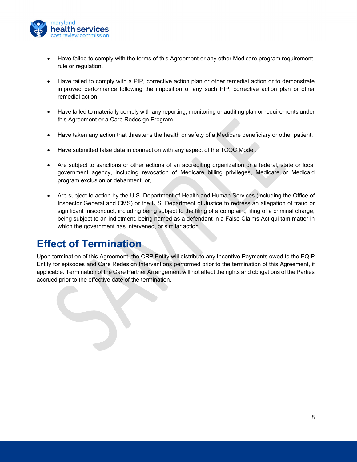

- Have failed to comply with the terms of this Agreement or any other Medicare program requirement, rule or regulation,
- Have failed to comply with a PIP, corrective action plan or other remedial action or to demonstrate improved performance following the imposition of any such PIP, corrective action plan or other remedial action,
- Have failed to materially comply with any reporting, monitoring or auditing plan or requirements under this Agreement or a Care Redesign Program,
- Have taken any action that threatens the health or safety of a Medicare beneficiary or other patient,
- Have submitted false data in connection with any aspect of the TCOC Model,
- Are subject to sanctions or other actions of an accrediting organization or a federal, state or local government agency, including revocation of Medicare billing privileges, Medicare or Medicaid program exclusion or debarment, or,
- Are subject to action by the U.S. Department of Health and Human Services (including the Office of Inspector General and CMS) or the U.S. Department of Justice to redress an allegation of fraud or significant misconduct, including being subject to the filing of a complaint, filing of a criminal charge, being subject to an indictment, being named as a defendant in a False Claims Act qui tam matter in which the government has intervened, or similar action.

#### <span id="page-9-0"></span>**Effect of Termination**

Upon termination of this Agreement, the CRP Entity will distribute any Incentive Payments owed to the EQIP Entity for episodes and Care Redesign Interventions performed prior to the termination of this Agreement, if applicable. Termination of the Care Partner Arrangement will not affect the rights and obligations of the Parties accrued prior to the effective date of the termination.